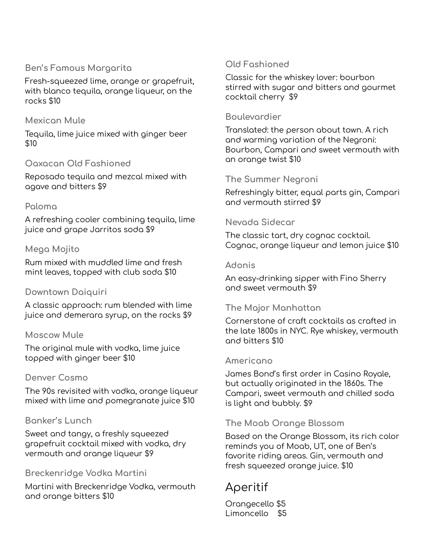## **Ben's Famous Margarita**

Fresh-squeezed lime, orange or grapefruit, with blanco tequila, orange liqueur, on the rocks \$10

## **Mexican Mule**

Tequila, lime juice mixed with ginger beer \$10

## **Oaxacan Old Fashioned**

Reposado tequila and mezcal mixed with agave and bitters \$9

## **Paloma**

A refreshing cooler combining tequila, lime juice and grape Jarritos soda \$9

#### **Mega Mojito**

Rum mixed with muddled lime and fresh mint leaves, topped with club soda \$10

#### **Downtown Daiquiri**

A classic approach: rum blended with lime juice and demerara syrup, on the rocks \$9

#### **Moscow Mule**

The original mule with vodka, lime juice topped with ginger beer \$10

#### **Denver Cosmo**

The 90s revisited with vodka, orange liqueur mixed with lime and pomegranate juice \$10

## **Banker's Lunch**

Sweet and tangy, a freshly squeezed grapefruit cocktail mixed with vodka, dry vermouth and orange liqueur \$9

#### **Breckenridge Vodka Martini**

Martini with Breckenridge Vodka, vermouth and orange bitters \$10

## **Old Fashioned**

Classic for the whiskey lover: bourbon stirred with sugar and bitters and gourmet cocktail cherry \$9

#### **Boulevardier**

Translated: the person about town. A rich and warming variation of the Negroni: Bourbon, Campari and sweet vermouth with an orange twist \$10

#### **The Summer Negroni**

Refreshingly bitter, equal parts gin, Campari and vermouth stirred \$9

#### **Nevada Sidecar**

The classic tart, dry cognac cocktail. Cognac, orange liqueur and lemon juice \$10

#### **Adonis**

An easy-drinking sipper with Fino Sherry and sweet vermouth \$9

## **The Major Manhattan**

Cornerstone of craft cocktails as crafted in the late 1800s in NYC. Rye whiskey, vermouth and bitters \$10

#### **Americano**

James Bond's first order in Casino Royale, but actually originated in the 1860s. The Campari, sweet vermouth and chilled soda is light and bubbly. \$9

## **The Moab Orange Blossom**

Based on the Orange Blossom, its rich color reminds you of Moab, UT, one of Ben's favorite riding areas. Gin, vermouth and fresh squeezed orange juice. \$10

# Aperitif

Orangecello \$5 Limoncello \$5